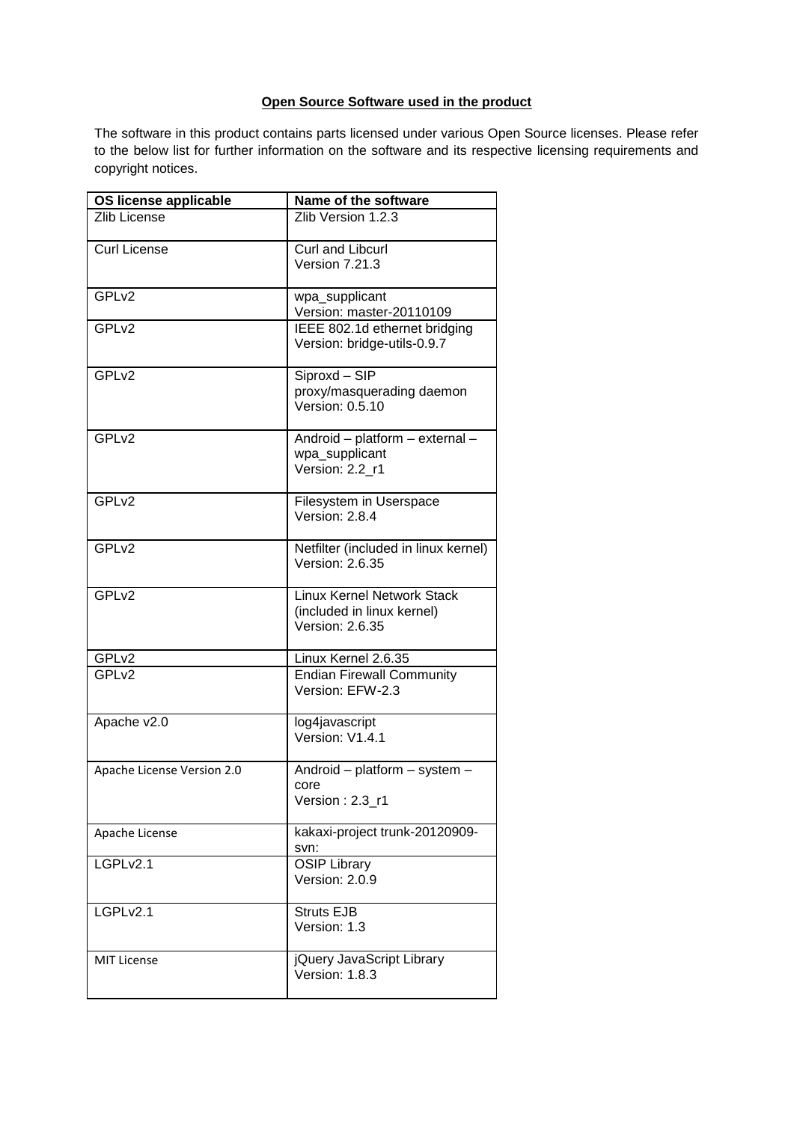## **Open Source Software used in the product**

The software in this product contains parts licensed under various Open Source licenses. Please refer to the below list for further information on the software and its respective licensing requirements and copyright notices.

| OS license applicable      | Name of the software                                                               |
|----------------------------|------------------------------------------------------------------------------------|
| <b>Zlib License</b>        | Zlib Version 1.2.3                                                                 |
| <b>Curl License</b>        | Curl and Libcurl<br>Version 7.21.3                                                 |
| GPL <sub>v2</sub>          | wpa_supplicant<br>Version: master-20110109                                         |
| GPL <sub>v2</sub>          | IEEE 802.1d ethernet bridging<br>Version: bridge-utils-0.9.7                       |
| GPL <sub>v2</sub>          | Siproxd - SIP<br>proxy/masquerading daemon<br>Version: 0.5.10                      |
| GPL <sub>v2</sub>          | Android - platform - external -<br>wpa_supplicant<br>Version: 2.2 r1               |
| GPL <sub>v2</sub>          | Filesystem in Userspace<br>Version: 2.8.4                                          |
| GPLv2                      | Netfilter (included in linux kernel)<br><b>Version: 2.6.35</b>                     |
| GPL <sub>v2</sub>          | <b>Linux Kernel Network Stack</b><br>(included in linux kernel)<br>Version: 2.6.35 |
| GPL <sub>v2</sub>          | Linux Kernel 2.6.35                                                                |
| GPL <sub>v2</sub>          | <b>Endian Firewall Community</b><br>Version: EFW-2.3                               |
| Apache v2.0                | log4javascript<br>Version: V1.4.1                                                  |
| Apache License Version 2.0 | Android - platform - system -<br>core<br>Version: 2.3_r1                           |
| Apache License             | kakaxi-project trunk-20120909-<br>svn:                                             |
| LGPLv2.1                   | <b>OSIP Library</b><br>Version: 2.0.9                                              |
| LGPLv2.1                   | <b>Struts EJB</b><br>Version: 1.3                                                  |
| <b>MIT License</b>         | jQuery JavaScript Library<br>Version: 1.8.3                                        |